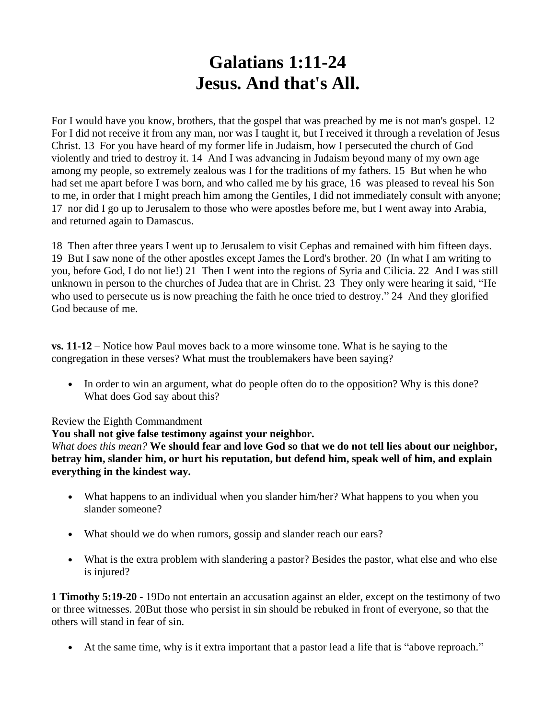## **Galatians 1:11-24 Jesus. And that's All.**

For I would have you know, brothers, that the gospel that was preached by me is not man's gospel. 12 For I did not receive it from any man, nor was I taught it, but I received it through a revelation of Jesus Christ. 13 For you have heard of my former life in Judaism, how I persecuted the church of God violently and tried to destroy it. 14 And I was advancing in Judaism beyond many of my own age among my people, so extremely zealous was I for the traditions of my fathers. 15 But when he who had set me apart before I was born, and who called me by his grace, 16 was pleased to reveal his Son to me, in order that I might preach him among the Gentiles, I did not immediately consult with anyone; 17 nor did I go up to Jerusalem to those who were apostles before me, but I went away into Arabia, and returned again to Damascus.

18 Then after three years I went up to Jerusalem to visit Cephas and remained with him fifteen days. 19 But I saw none of the other apostles except James the Lord's brother. 20 (In what I am writing to you, before God, I do not lie!) 21 Then I went into the regions of Syria and Cilicia. 22 And I was still unknown in person to the churches of Judea that are in Christ. 23 They only were hearing it said, "He who used to persecute us is now preaching the faith he once tried to destroy." 24 And they glorified God because of me.

**vs. 11-12** – Notice how Paul moves back to a more winsome tone. What is he saying to the congregation in these verses? What must the troublemakers have been saying?

• In order to win an argument, what do people often do to the opposition? Why is this done? What does God say about this?

## Review the Eighth Commandment

## **You shall not give false testimony against your neighbor.**

*What does this mean?* **We should fear and love God so that we do not tell lies about our neighbor, betray him, slander him, or hurt his reputation, but defend him, speak well of him, and explain everything in the kindest way.**

- What happens to an individual when you slander him/her? What happens to you when you slander someone?
- What should we do when rumors, gossip and slander reach our ears?
- What is the extra problem with slandering a pastor? Besides the pastor, what else and who else is injured?

**1 Timothy 5:19-20** - 19Do not entertain an accusation against an elder, except on the testimony of two or three witnesses. 20But those who persist in sin should be rebuked in front of everyone, so that the others will stand in fear of sin.

• At the same time, why is it extra important that a pastor lead a life that is "above reproach."